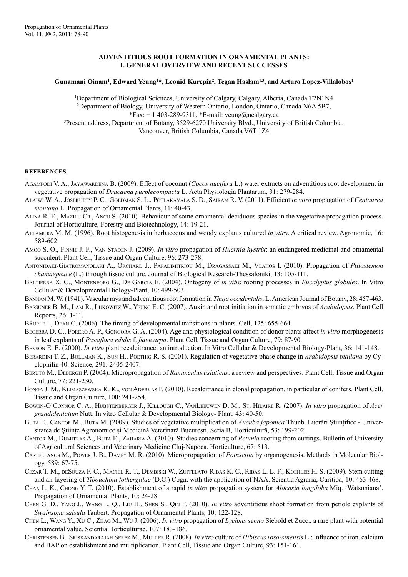## **ADVENTITIOUS ROOT FORMATION in ORNAMENTAL PLANTS: I. GENERAL OVERVIEW AND RECENT SUCCESSES**

## **Gunamani Oinam1 , Edward Yeung1 \*, Leonid Kurepin2 , Tegan Haslam1,3, and Arturo Lopez-Villalobos1**

1 Department of Biological Sciences, University of Calgary, Calgary, Alberta, Canada T2N1N4 2 Department of Biology, University of Western Ontario, London, Ontario, Canada N6A 5B7, \*Fax:  $+ 1$  403-289-9311, \*E-mail: yeung@ucalgary.ca 3 Present address, Department of Botany, 3529-6270 University Blvd., University of British Columbia, Vancouver, British Columbia, Canada V6T 1Z4

## **REFERENCES**

- AGAMPODI V. A., JAYAWARDENA B. (2009). Effect of coconut (*Cocos nucifera* L.) water extracts on adventitious root development in vegetative propagation of *Dracaena purplecompacta* L*.* Acta Physiologia Plantarum, 31: 279-284.
- Alaiwi W. A., Josekutty P. C., Goldman S. L., Potlakayala S. D., Sairam R. V. (2011). Efficient *in vitro* propagation of *Centaurea montana* L. Propagation of Ornamental Plants, 11: 40-43.
- ALINA R. E., MAZILU CR., ANCU S. (2010). Behaviour of some ornamental deciduous species in the vegetative propagation process. Journal of Horticulture, Forestry and Biotechnology, 14: 19-21.
- Altamura M. M. (1996). Root histogenesis in herbaceous and woody explants cultured *in vitro*. A critical review. Agronomie, 16: 589-602.
- Amoo S. O., Finnie J. F., Van Staden J. (2009). *In vitro* propagation of *Huernia hystrix*: an endangered medicinal and ornamental succulent. Plant Cell, Tissue and Organ Culture, 96: 273-278.
- Antonidaki-Giatromanolaki A., Orchard J., Papadimitriou M., Dragassaki M., Vlahos I. (2010). Propagation of *Ptilostemon chamaepeuce* (L.) through tissue culture. Journal of Biological Research-Thessaloniki, 13: 105-111.
- Baltierra X. C., Montenegro G., De Garcia E. (2004). Ontogeny of *in vitro* rooting processes in *Eucalyptus globules*. In Vitro Cellular & Developmental Biology-Plant, 10: 499-503.
- Bannan M. W. (1941). Vascular rays and adventitious root formation in *Thuja occidentalis*. L. American Journal of Botany, 28: 457-463.
- Bassuner B. M., Lam R., Lukowitz W., Yeung E. C. (2007). Auxin and root initiation in somatic embryos of *Arabidopsis*. Plant Cell Reports, 26: 1-11.
- Bäurle I., Dean C. (2006). The timing of developmental transitions in plants. Cell, 125: 655-664.
- Becerra D. C., Forero A. P., Gongora G. A. (2004). Age and physiological condition of donor plants affect *in vitro* morphogenesis in leaf explants of *Passiflora edulis* f. *flavicarpa*. Plant Cell, Tissue and Organ Culture, 79: 87-90.
- Benson E. E. (2000). *In vitro* plant recalcitrance: an introduction. In Vitro Cellular & Developmental Biology-Plant, 36: 141-148.
- Berardini T. Z., Bollman K., Sun H., Poethig R. S. (2001). Regulation of vegetative phase change in *Arabidopsis thaliana* by Cyclophilin 40. Science, 291: 2405-2407.
- Beruto M., Debergh P. (2004). Micropropagation of *Ranunculus asiaticus*: a review and perspectives. Plant Cell, Tissue and Organ Culture, 77: 221-230.
- Bonga J. M., Klimaszewska K. K., von Aderkas P. (2010). Recalcitrance in clonal propagation, in particular of conifers. Plant Cell, Tissue and Organ Culture, 100: 241-254.
- Bowen-O'Connor C. A., Hubstenberger J., Killough C., VanLeeuwen D. M., St. Hilaire R. (2007). *In vitro* propagation of *Acer grandidentatum* Nutt. In vitro Cellular & Developmental Biology- Plant, 43: 40-50.
- Buta E., Cantor M., Buta M. (2009). Studies of vegetative multiplication of *Aucuba japonica* Thunb. Lucrări Ştiinţifice Universitatea de Științe Agronomice și Medicină Veterinară București. Seria B, Horticultură, 53: 199-202.
- Cantor M., Dumitras A., Buta E., Zaharia A. (2010). Studies concerning of *Petunia* rooting from cuttings. Bulletin of University of Agricultural Sciences and Veterinary Medicine Cluj-Napoca. Horticulture, 67: 513.
- Castellanos M., Power J. B., Davey M. R. (2010). Micropropagation of *Poinsettia* by organogenesis. Methods in Molecular Biology, 589: 67-75.
- Cezar T. M., deSouza F. C., Maciel R. T., Dembiski W., Zuffelato-Ribas K. C., Ribas L. L. F., Koehler H. S. (2009). Stem cutting and air layering of *Tibouchina fothergillae* (D.C.) Cogn. with the application of NAA. Scientia Agraria, Curitiba, 10: 463-468.
- Chan L. K., Chong Y. T. (2010). Establishment of a rapid *in vitro* propagation system for *Alocasia longiloba* Miq. 'Watsoniana'. Propagation of Ornamental Plants, 10: 24-28.
- Chen G. D., Yang J., Wang L. Q., Liu H., Shen S., Qin F. (2010). *In vitro* adventitious shoot formation from petiole explants of *Swainsona salsula* Taubert. Propagation of Ornamental Plants, 10: 122-128.
- Chen L., Wang Y., Xu C., Zhao M., Wu J. (2006). *In vitro* propagation of *Lychnis senno* Siebold et Zucc., a rare plant with potential ornamental value. Scientia Horticulturae, 107: 183-186.
- Christensen B., Sriskandarajah Serek M., Muller R. (2008). *In vitro* culture of *Hibiscus rosa-sinensis* L.: Influence of iron, calcium and BAP on establishment and multiplication. Plant Cell, Tissue and Organ Culture, 93: 151-161.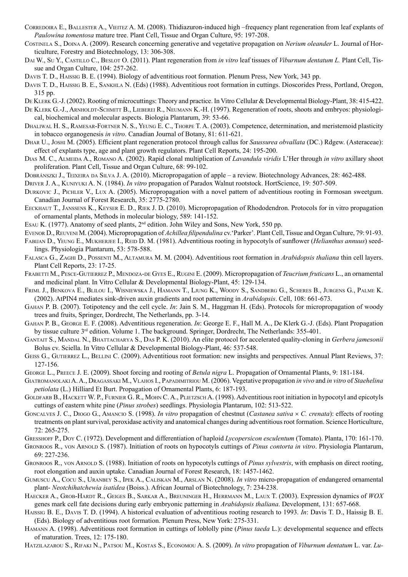- CORREDOIRA E., BALLESTER A., VIEITEZ A. M. (2008). Thidiazuron-induced high –frequency plant regeneration from leaf explants of *Paulowina tomentosa* mature tree. Plant Cell, Tissue and Organ Culture, 95: 197-208.
- Costinela S., Doina A. (2009). Research concerning generative and vegetative propagation on *Nerium oleander* L. Journal of Horticulture, Forestry and Biotechnology, 13: 306-308.
- Dai W., Su Y., Castillo C., Beslot O. (2011). Plant regeneration from *in vitro* leaf tissues of *Viburnum dentatum L.* Plant Cell, Tissue and Organ Culture, 104: 257-262.
- Davis T. D., Haissig B. E. (1994). Biology of adventitious root formation. Plenum Press, New York, 343 pp.
- Davis T. D., Haissig B. E., Sankhla N. (Eds) (1988). Adventitious root formation in cuttings. Dioscorides Press, Portland, Oregon, 315 pp.
- De Klerk G.-J. (2002). Rooting of microcuttings: Theory and practice. In Vitro Cellular & Developmental Biology-Plant, 38: 415-422.
- DE KLERK G.-J., ARNHOLDT-SCHMITT B., LIEBEREI R., NEUMANN K.-H. (1997). Regeneration of roots, shoots and embryos: physiological, biochemical and molecular aspects. Biologia Plantarum, 39: 53-66.
- Dhaliwal H. S., Ramesar-Fortner N. S., Yeung E. C., Thorpe T. A. (2003). Competence, determination, and meristemoid plasticity in tobacco organogenesis *in vitro*. Canadian Journal of Botany, 81: 611-621.
- Dhar U., Joshi M. (2005). Efficient plant regeneration protocol through callus for *Saussurea obvallata* (DC.) Rdgew. (Asteraceae): effect of explants type, age and plant growth regulators. Plant Cell Reports, 24: 195-200.
- Dias M. C., Almeida A., Romano A. (2002). Rapid clonal multiplication of *Lavandula viridis* L'Her through *in vitro* axillary shoot proliferation. Plant Cell, Tissue and Organ Culture, 68: 99-102.
- Dobránszki J., Teixeira da Silva J. A. (2010). Micropropagation of apple a review. Biotechnology Advances, 28: 462-488.

Driver J. A., Kuniyuki A. N. (1984). *In vitro* propagation of Paradox Walnut rootstock. HortScience, 19: 507-509.

- Durkovic J., Pichler V., Lux A. (2005). Micropropagation with a novel pattern of adventitious rooting in Formosan sweetgum. Canadian Journal of Forest Research, 35: 2775-2780.
- Eeckhaut T., Janssens K., Keyser E. D., Riek J. D. (2010). Micropropagation of Rhododendron. Protocols for in vitro propagation of ornamental plants, Methods in molecular biology, 589: 141-152.
- Esau K. (1977). Anatomy of seed plants,  $2<sup>nd</sup>$  edition. John Wiley and Sons, New York, 550 pp.
- Evenor D., Reuveni M. (2004). Micropropagation of *Achillea filipendulina* cv.'Parker'. Plant Cell, Tissue and Organ Culture, 79: 91-93.
- FABIJAN D., YEUNG E., MUKHERJEE I., REID D. M. (1981). Adventitious rooting in hypocotyls of sunflower (*Helianthus annuus*) seedlings. Physiologia Plantarum, 53: 578-588.
- Falasca G., Zaghi D., Possenti M., Altamura M. M. (2004). Adventitious root formation in *Arabidopsis thaliana* thin cell layers. Plant Cell Reports, 23: 17-25.
- Frabetti M., Pesce-Gutierrez P., Mendoza-de Gyes E., Rugini E. (2009). Micropropagation of *Teucrium fruticans* L., an ornamental and medicinal plant. In Vitro Cellular & Developmental Biology-Plant, 45: 129-134.
- Friml J., Benkova E., Blilou I., Wisniewska J., Hamann T., Ljung K., Woody S., Sandberg G., Scheres B., Jurgens G., Palme K. (2002). AtPIN4 mediates sink-driven auxin gradients and root patterning in *Arabidopsis*. Cell, 108: 661-673.
- Gahan P. B. (2007). Totipotency and the cell cycle. *In*: Jain S. M., Haggman H. (Eds). Protocols for micropropagation of woody trees and fruits, Springer, Dordrecht, The Netherlands, pp. 3-14.
- Gahan P. B., George E. F. (2008). Adventitious regeneration. *In*: George E. F., Hall M. A., De Klerk G.-J. (Eds). Plant Propagation by tissue culture 3rd edition. Volume 1. The background. Springer, Dordrecht, The Netherlands: 355-401.
- Gantait S., Mandal N., Bhattacharya S., Das P. K. (2010). An elite protocol for accelerated quality-cloning in *Gerbera jamesonii*  Bolus cv. Sciella. In Vitro Cellular & Developmental Biology-Plant, 46: 537-548.
- Geiss G., Gutierrez L., Bellini C. (2009). Adventitious root formation: new insights and perspectives. Annual Plant Reviews, 37: 127-156.
- George L., Preece J. E. (2009). Shoot forcing and rooting of *Betula nigra* L. Propagation of Ornamental Plants, 9: 181-184.
- Giatromanolaki A. A., Dragassaki M., Vlahos I., Papadimitriou M. (2006). Vegetative propagation *in vivo* and *in vitro* of *Staehelina petiolata* (L.) Hilliard Et Burt. Propagation of Ornamental Plants, 6: 187-193.
- GOLDFARB B., HACKETT W. P., FURNIER G. R., MOHN C. A., PLIETZSCH A. (1998). Adventitious root initiation in hypocotyl and epicotyls cuttings of eastern white pine (*Pinus strobes*) seedlings. Physiologia Plantarum, 102: 513-522.
- Goncalves J. C., Diogo G., Amancio S. (1998). *In vitro* propagation of chestnut (*Castanea sativa* × *C. crenata*): effects of rooting treatments on plant survival, peroxidase activity and anatomical changes during adventitious root formation. Science Horticulture, 72: 265-275.
- Gresshoff P., Doy C. (1972). Development and differentiation of haploid *Lycopersicon esculentum* (Tomato). Planta, 170: 161-170.
- GRONROOS R., VON ARNOLD S. (1987). Initiation of roots on hypocotyls cuttings of *Pinus contorta in vitro*. Physiologia Plantarum, 69: 227-236.
- Gronroos R., von Arnold S. (1988). Initiation of roots on hypocotyls cuttings of *Pinus sylvestris*, with emphasis on direct rooting, root elongation and auxin uptake. Canadian Journal of Forest Research, 18: 1457-1462.
- Gumuscu A., Cocu S., Uranbey S., Ipek A., Caliskan M., Arslan N. (2008). *In vitro* micro-propagation of endangered ornamental plant- *Neotchihatchewia isatidea* (Boiss.). African Journal of Biotechnology, 7: 234-238.
- HAECKER A., GROB-HARDT R., GEIGES B., SARKAR A., BREUNINGER H., HERRMANN M., LAUX T. (2003). Expression dynamics of  $WOX$ genes mark cell fate decisions during early embryonic patterning in *Arabidopsis thaliana*. Development, 131: 657-668.
- Haissig B. E., Davis T. D. (1994). A historical evaluation of adventitious rooting research to 1993. *In*: Davis T. D., Haissig B. E. (Eds). Biology of adventitious root formation. Plenum Press, New York: 275-331.
- Hamann A. (1998). Adventitious root formation in cuttings of loblolly pine (*Pinus taeda* L.): developmental sequence and effects of maturation. Trees, 12: 175-180.
- Hatzilazarou S., Rifaki N., Patsou M., Kostas S., Economou A. S. (2009). *In vitro* propagation of *Viburnum dentatum* L. var. *Lu-*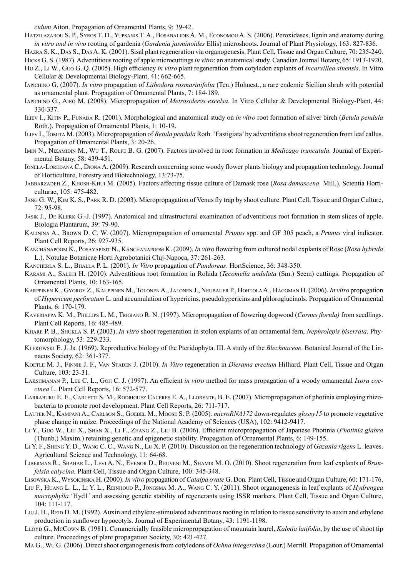*cidum* Aiton. Propagation of Ornamental Plants, 9: 39-42.

Hatzilazarou S. P., Syros T. D., Yupsanis T. A., Bosabalidis A. M., Economou A. S. (2006). Peroxidases, lignin and anatomy during *in vitro and in vivo* rooting of gardenia (*Gardenia jasminoides* Ellis) microshoots. Journal of Plant Physiology, 163: 827-836.

Hazra S. K., Das S., Das A. K. (2001). Sisal plant regeneration via organogenesis. Plant Cell, Tissue and Organ Culture, 70: 235-240.

- Hicks G. S. (1987). Adventitious rooting of apple microcuttings *in vitro*: an anatomical study. Canadian Journal Botany, 65: 1913-1920.
- Hu Z., Li W., Guo G. Q. (2005). High efficiency *in vitro* plant regeneration from cotyledon explants of *Incarvillea sinensis*. In Vitro Cellular & Developmental Biology-Plant, 41: 662-665.
- Iapichino G. (2007). *In vitro* propagation of *Lithodora rosmarinifolia* (Ten.) Hohnest., a rare endemic Sicilian shrub with potential as ornamental plant. Propagation of Ornamental Plants, 7: 184-189.
- Iapichino G., Airò M. (2008). Micropropagation of *Metrosideros excelsa*. In Vitro Cellular & Developmental Biology-Plant, 44: 330-337.
- Iliev I., Kitin P., Funada R. (2001). Morphological and anatomical study on *in vitro* root formation of silver birch (*Betula pendula* Roth.). Propagation of Ornamental Plants, 1: 10-19.
- Iliev I., Tomita M. (2003). Micropropagation of *Betula pendula* Roth. 'Fastigiata' by adventitious shoot regeneration from leaf callus. Propagation of Ornamental Plants, 3: 20-26.
- Imin N., Nizamidin M., Wu T., Rolfe B. G. (2007). Factors involved in root formation in *Medicago truncatula*. Journal of Experimental Botany, 58: 439-451.
- Ionela-Loredana C., Diona A. (2009). Research concerning some woody flower plants biology and propagation technology. Journal of Horticulture, Forestry and Biotechnology, 13:73-75.
- Jabbarzadeh Z., Khosh-Khui M. (2005). Factors affecting tissue culture of Damask rose (*Rosa damascena* Mill*.*). Scientia Horticulturae, 105: 475-482.
- Jang G. W., Kim K. S., Park R. D. (2003). Micropropagation of Venus fly trap by shoot culture. Plant Cell, Tissue and Organ Culture,  $72.95 - 98$
- Jásik J., De Klerk G.-J. (1997). Anatomical and ultrastructural examination of adventitious root formation in stem slices of apple. Biologia Plantarum, 39: 79-90.
- Kalinina A., Brown D. C. W. (2007). Micropropagation of ornamental *Prunus* spp. and GF 305 peach, a *Prunus* viral indicator. Plant Cell Reports, 26: 927-935.
- Kanchanapoom K., Posayapisit N., Kanchanapoom K. (2009). *In vitro* flowering from cultured nodal explants of Rose (*Rosa hybrida* L.). Notulae Botanicae Horti Agrobotanici Cluj-Napoca, 37: 261-263.
- Kancherla S. L., Bhalla P. L. (2001). *In Vitro* propagation of *Pandoreas*. HortScience, 36: 348-350.
- Karami A., Salehi H. (2010). Adventitious root formation in Rohida (*Tecomella undulata* (Sm.) Seem) cuttings. Propagation of Ornamental Plants, 10: 163-165.
- Karppinen K., Gyorgy Z., Kauppinen M., Tolonen A., Jalonen J., Neubauer P., Hohtola A., Haggman H. (2006). *In vitro* propagation of *Hypericum perforatum* L. and accumulation of hypericins, pseudohypericins and phloroglucinols. Propagation of Ornamental Plants, 6: 170-179.
- Kaveriappa K. M., Phillips L. M., Trigiano R. N. (1997). Micropropagation of flowering dogwood (*Cornus florida)* from seedlings. Plant Cell Reports, 16: 485-489.
- Khare P. B., Shukla S. P. (2003). *In vitro* shoot regeneration in stolon explants of an ornamental fern, *Nephrolepis biserrata*. Phytomorphology, 53: 229-233.
- Klekowski E. J. Jr. (1969). Reproductive biology of the Pteridophyta. III. A study of the *Blechnaceae*. Botanical Journal of the Linnaeus Society, 62: 361-377.
- Koetle M. J., Finnie J. F., Van Staden J. (2010). *In Vitro* regeneration in *Dierama erectum* Hilliard. Plant Cell, Tissue and Organ Culture, 103: 23-31.
- Lakshmanan P., Lee C. L., Goh C. J. (1997). An efficient *in vitro* method for mass propagation of a woody ornamental *Ixora coccinea* L. Plant Cell Reports, 16: 572-577.
- LARRABURU E. E., CARLETTI S. M., RODRIGUEZ CACERES E. A., LLORENTE, B. E. (2007). Micropropagation of photinia employing rhizobacteria to promote root development. Plant Cell Reports, 26: 711-717.
- Lauter N., Kampani A., Carlson S., Goebel M., Moose S. P. (2005). *microRNA172* down-regulates *glossy15* to promote vegetative phase change in maize. Proceedings of the National Academy of Sciences (USA), 102: 9412-9417.
- Li Y., Guo W., Liu X., Shan X., Li F., Zhang Z., Liu B. (2006). Efficient micropropagation of Japanese Photinia (*Photinia glabra* (Thunb.) Maxim.) retaining genetic and epigenetic stability. Propagation of Ornamental Plants, 6: 149-155.
- Li Y. F., Sheng Y. D., Wang C. C., Wang N., Lu X. P. (2010). Discussion on the regeneration technology of *Gazania rigens* L. leaves. Agricultural Science and Technology, 11: 64-68.
- Liberman R., Shahar L., Levi A. N., Evenor D., Reuveni M., Shamir M. O. (2010). Shoot regeneration from leaf explants of *Brunfelsia calycina.* Plant Cell, Tissue and Organ Culture, 100: 345-348.
- Lisowska K., Wysokinska H. (2000). *In vitro* propagation of *Catalpa ovate* G. Don*.* Plant Cell, Tissue and Organ Culture, 60: 171-176.
- Liu F., Huang L. L., Li Y. L., Reinhoud P., Jongsma M. A., Wang C. Y. (2011). Shoot organogenesis in leaf explants of *Hydrengea macrophylla* 'Hyd1' and assessing genetic stability of regenerants using ISSR markers. Plant Cell, Tissue and Organ Culture, 104: 111-117.
- Liu J. H., Rein D. M. (1992). Auxin and ethylene-stimulated adventitious rooting in relation to tissue sensitivity to auxin and ethylene production in sunflower hypocotyls. Journal of Experimental Botany, 43: 1191-1198.
- Lloyd G., McCown B. (1981). Commercially feasible micropropagation of mountain laurel, *Kalmia latifolia*, by the use of shoot tip culture. Proceedings of plant propagation Society, 30: 421-427.
- Ma G., Wu G. (2006). Direct shoot organogenesis from cotyledons of *Ochna integerrima* (Lour.) Merrill. Propagation of Ornamental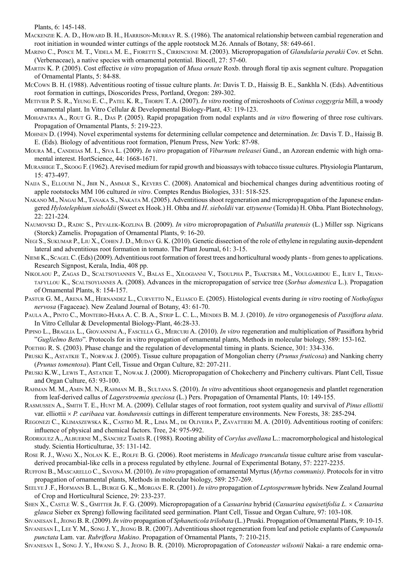Plants, 6: 145-148.

- Mackenzie K. A. D., Howard B. H., Harrison-Murray R. S. (1986). The anatomical relationship between cambial regeneration and root initiation in wounded winter cuttings of the apple rootstock M.26. Annals of Botany, 58: 649-661.
- Marino C., Ponce M. T., Videla M. E., Fioretti S., Cirrincione M. (2003). Micropropagation of *Glandularia perakii* Cov. et Schn. (Verbenaceae), a native species with ornamental potential. Biocell, 27: 57-60.
- Martin K. P. (2005). Cost effective *in vitro* propagation of *Musa ornate* Roxb. through floral tip axis segment culture. Propagation of Ornamental Plants, 5: 84-88.
- McCown B. H. (1988). Adventitious rooting of tissue culture plants. *In*: Davis T. D., Haissig B. E., Sankhla N. (Eds). Adventitious root formation in cuttings, Dioscorides Press, Portland, Oregon: 289-302.
- Metivier P. S. R., Yeung E. C., Patel K. R., Thorpe T. A. (2007). *In vitro* rooting of microshoots of *Cotinus coggygria* Mill, a woody ornamental plant. In Vitro Cellular & Developmental Biology-Plant, 43: 119-123.
- Mohapatra A., Rout G. R., Das P. (2005). Rapid propagation from nodal explants and *in vitro* flowering of three rose cultivars. Propagation of Ornamental Plants, 5: 219-223.
- Mohnen D. (1994). Novel experimental systems for determining cellular competence and determination. *In*: Davis T. D., Haissig B. E. (Eds). Biology of adventitious root formation, Plenum Press, New York: 87-98.
- Moura M., Candelas M. I., Siva L. (2009). *In vitro* propagation of *Viburnum treleasei* Gand., an Azorean endemic with high ornamental interest. HortScience, 44: 1668-1671.
- Murashige T., Skoog F. (1962). A revised medium for rapid growth and bioassays with tobacco tissue cultures. Physiologia Plantarum, 15: 473-497.
- NAIJA S., ELLOUMI N., JBIR N., AMMAR S., KEVERS C. (2008). Anatomical and biochemical changes during adventitious rooting of apple rootstocks MM 106 cultured *in vitro*. Comptes Rendus Biologies, 331: 518-525.
- Nakano M., Nagai M., Tanaka S., Nakata M. (2005). Adventitious shoot regeneration and micropropagation of the Japanese endangered *Hylotelephium sieboldii* (Sweet ex Hook.) H. Ohba and *H*. *sieboldii* var. e*ttyuense* (Tomida) H. Ohba. Plant Biotechnology, 22: 221-224.
- Naumovski D., Radic S., Pevalek-Kozlina B. (2009). *In vitro* micropropagation of *Pulsatilla pratensis* (L.) Miller ssp. Nigricans (Storck) Zamelis. Propagation of Ornamental Plants, 9: 16-20.
- Negi S., Sukumar P., Liu X., Cohen J. D., Muday G. K. (2010). Genetic dissection of the role of ethylene in regulating auxin-dependent lateral and adventitious root formation in tomato. The Plant Journal, 61: 3-15.
- NIEMI K., SCAGEL C. (Eds) (2009). Adventitious root formation of forest trees and horticultural woody plants from genes to applications. Research Signpost, Kerala, India, 408 pp.
- Nikolaou P., Zagas D., Scaltsoyiannes V., Balas E., Xilogianni V., Tsoulpha P., Tsaktsira M., Voulgaridou E., Iliev I., Triantafyllou K., Scaltsoyiannes A. (2008). Advances in the micropropagation of service tree (*Sorbus domestica* L.). Propagation of Ornamental Plants, 8: 154-157.
- Pastur G. M., Arena M., Hernandez L., Curvetto N., Eliasco E. (2005). Histological events during *in vitro* rooting of *Nothofagus nervosa* (Fagaceae). New Zealand Journal of Botany, 43: 61-70.
- Paula A., Pinto C., Monteiro-Hara A. C. B. A., Strip L. C. L., Mendes B. M. J. (2010). *In vitro* organogenesis of *Passiflora alata*. In Vitro Cellular & Developmental Biology-Plant, 46:28-33.
- Pipino L., Braglia L., Giovannini A., Fascella G., Mercuri A. (2010). *In vitro* regeneration and multiplication of Passiflora hybrid "*Guglielmo Betto*". Protocols for in vitro propagation of ornamental plants, Methods in molecular biology, 589: 153-162.
- POETHIG R. S. (2003). Phase change and the regulation of developmental timing in plants. Science, 301: 334-336.
- Pruski K., Astatkie T., Norwak J. (2005). Tissue culture propagation of Mongolian cherry (*Prunus fruticosa*) and Nanking cherry (*Prunus tomentosa*). Plant Cell, Tissue and Organ Culture, 82: 207-211.
- Pruski K.W., Lewis T., Astatkie T., Nowak J. (2000). Micropropagation of Chokecherry and Pincherry cultivars. Plant Cell, Tissue and Organ Culture, 63: 93-100.
- Rahman M. M., Amin M. N., Rahman M. B., Sultana S. (2010). *In vitro* adventitious shoot organogenesis and plantlet regeneration from leaf-derived callus of *Lagerstroemia speciosa* (L.) Pers. Propagation of Ornamental Plants, 10: 149-155.
- Rasmussen A., Smith T. E., Hunt M. A. (2009). Cellular stages of root formation, root system quality and survival of *Pinus elliottii* var. elliottii × *P. caribaea* var. *hondurensis* cuttings in different temperature environments. New Forests, 38: 285-294.
- Regonezi C., Klimaszewska K., Castro M. R., Lima M., de Oliveira P., Zavattieri M. A. (2010). Adventitious rooting of conifers: influence of physical and chemical factors. Tree, 24: 975-992.
- Rodriguez A., Albuerne M., Sánchez Tamés R. (1988). Rooting ability of *Corylus avellana* L.: macromorphological and histological study. Scientia Horticulturae, 35: 131-142.
- Rose R. J., Wang X., Nolan K. E., Rolfe B. G. (2006). Root meristems in *Medicago truncatula* tissue culture arise from vascularderived procambial-like cells in a process regulated by ethylene. Journal of Experimental Botany, 57: 2227-2235.
- Ruffoni B., Mascarello C., Savona M. (2010). *In vitro* propagation of ornamental Myrtus (*Myrtus communis)*. Protocols for in vitro propagation of ornamental plants, Methods in molecular biology, 589: 257-269.
- Seelye J .F., Hofmann B. L., Burge G. K., Morgan E. R. (2001). *In vitro* propagation of *Leptospermum* hybrids. New Zealand Journal of Crop and Horticultural Science, 29: 233-237.
- Shen X., Castle W. S., Gmitter Jr. F. G. (2009). Micropropagation of a *Casuarina* hybrid (*Casuarina equisetifolia L.* × *Casuarina glauca* Sieber ex Spreng) following facilitated seed germination. Plant Cell, Tissue and Organ Culture, 97: 103-108.
- Sivanesan I., Jeong B. R. (2009). *In vitro* propagation of *Sphaneticola trilobata* (L.) Pruski. Propagation of Ornamental Plants, 9: 10-15.
- Sivanesan I., Lee Y. M., Song J. Y., Jeong B. R. (2007). Adventitious shoot regeneration from leaf and petiole explants of *Campanula punctata* Lam. var. *Rubriflora Makino*. Propagation of Ornamental Plants, 7: 210-215.
- Sivanesan I., Song J. Y., Hwang S. J., Jeong B. R. (2010). Micropropagation of *Cotoneaster wilsonii* Nakai- a rare endemic orna-